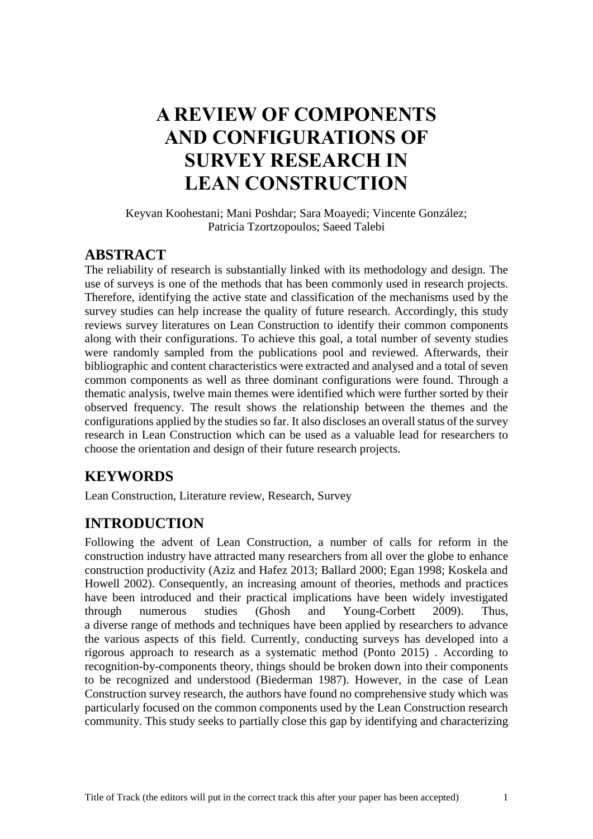# **A REVIEW OF COMPONENTS AND CONFIGURATIONS OF SURVEY RESEARCH IN LEAN CONSTRUCTION**

Keyvan Koohestani; Mani Poshdar; Sara Moayedi; Vincente González; Patricia Tzortzopoulos; Saeed Talebi

### **ABSTRACT**

The reliability of research is substantially linked with its methodology and design. The use of surveys is one of the methods that has been commonly used in research projects. Therefore, identifying the active state and classification of the mechanisms used by the survey studies can help increase the quality of future research. Accordingly, this study reviews survey literatures on Lean Construction to identify their common components along with their configurations. To achieve this goal, a total number of seventy studies were randomly sampled from the publications pool and reviewed. Afterwards, their bibliographic and content characteristics were extracted and analysed and a total of seven common components as well as three dominant configurations were found. Through a thematic analysis, twelve main themes were identified which were further sorted by their observed frequency. The result shows the relationship between the themes and the configurations applied by the studies so far. It also discloses an overall status of the survey research in Lean Construction which can be used as a valuable lead for researchers to choose the orientation and design of their future research projects.

### **KEYWORDS**

Lean Construction, Literature review, Research, Survey

# **INTRODUCTION**

Following the advent of Lean Construction, a number of calls for reform in the construction industry have attracted many researchers from all over the globe to enhance construction productivity (Aziz and Hafez 2013; Ballard 2000; Egan 1998; Koskela and Howell 2002). Consequently, an increasing amount of theories, methods and practices have been introduced and their practical implications have been widely investigated through numerous studies (Ghosh and Young-Corbett 2009). Thus, a diverse range of methods and techniques have been applied by researchers to advance the various aspects of this field. Currently, conducting surveys has developed into a rigorous approach to research as a systematic method (Ponto 2015) . According to recognition-by-components theory, things should be broken down into their components to be recognized and understood (Biederman 1987). However, in the case of Lean Construction survey research, the authors have found no comprehensive study which was particularly focused on the common components used by the Lean Construction research community. This study seeks to partially close this gap by identifying and characterizing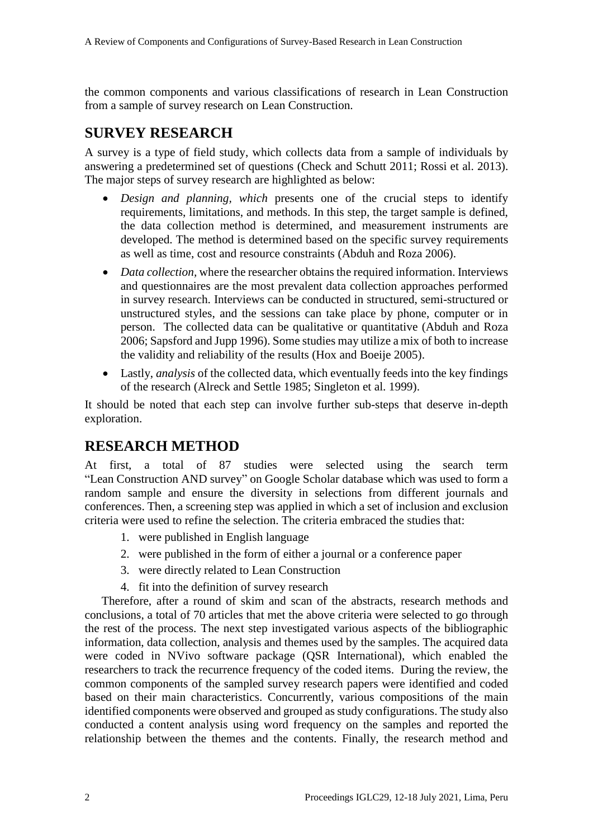the common components and various classifications of research in Lean Construction from a sample of survey research on Lean Construction.

## **SURVEY RESEARCH**

A survey is a type of field study, which collects data from a sample of individuals by answering a predetermined set of questions (Check and Schutt 2011; Rossi et al. 2013). The major steps of survey research are highlighted as below:

- *Design and planning, which* presents one of the crucial steps to identify requirements, limitations, and methods. In this step, the target sample is defined, the data collection method is determined, and measurement instruments are developed. The method is determined based on the specific survey requirements as well as time, cost and resource constraints (Abduh and Roza 2006).
- *Data collection,* where the researcher obtains the required information. Interviews and questionnaires are the most prevalent data collection approaches performed in survey research. Interviews can be conducted in structured, semi-structured or unstructured styles, and the sessions can take place by phone, computer or in person. The collected data can be qualitative or quantitative (Abduh and Roza 2006; Sapsford and Jupp 1996). Some studies may utilize a mix of both to increase the validity and reliability of the results (Hox and Boeije 2005).
- Lastly, *analysis* of the collected data, which eventually feeds into the key findings of the research (Alreck and Settle 1985; Singleton et al. 1999).

It should be noted that each step can involve further sub-steps that deserve in-depth exploration.

#### **RESEARCH METHOD**

At first, a total of 87 studies were selected using the search term "Lean Construction AND survey" on Google Scholar database which was used to form a random sample and ensure the diversity in selections from different journals and conferences. Then, a screening step was applied in which a set of inclusion and exclusion criteria were used to refine the selection. The criteria embraced the studies that:

- 1. were published in English language
- 2. were published in the form of either a journal or a conference paper
- 3. were directly related to Lean Construction
- 4. fit into the definition of survey research

Therefore, after a round of skim and scan of the abstracts, research methods and conclusions, a total of 70 articles that met the above criteria were selected to go through the rest of the process. The next step investigated various aspects of the bibliographic information, data collection, analysis and themes used by the samples. The acquired data were coded in NVivo software package (QSR International), which enabled the researchers to track the recurrence frequency of the coded items. During the review, the common components of the sampled survey research papers were identified and coded based on their main characteristics. Concurrently, various compositions of the main identified components were observed and grouped as study configurations. The study also conducted a content analysis using word frequency on the samples and reported the relationship between the themes and the contents. Finally, the research method and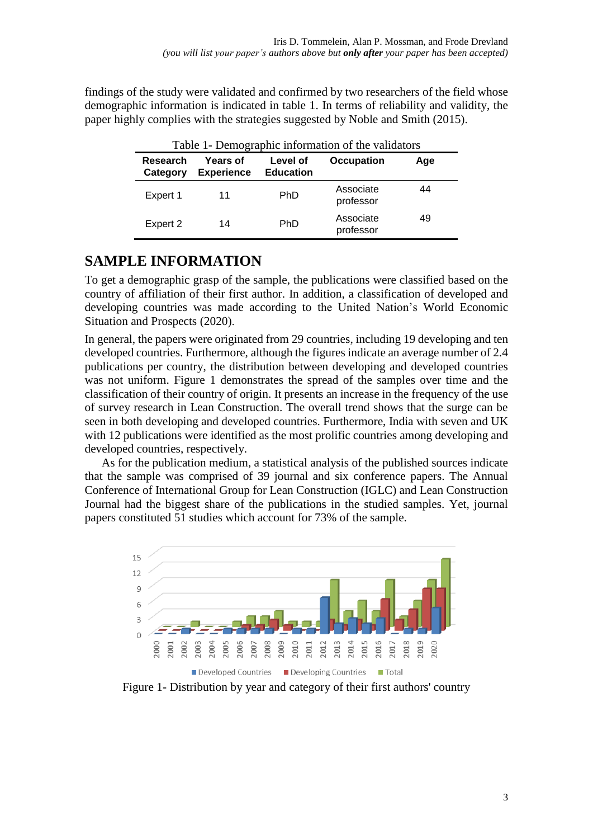| Table 1- Demographic information of the validators |                                      |                              |                        |     |  |  |  |  |  |
|----------------------------------------------------|--------------------------------------|------------------------------|------------------------|-----|--|--|--|--|--|
| Research<br>Category                               | <b>Years of</b><br><b>Experience</b> | Level of<br><b>Education</b> | <b>Occupation</b>      | Age |  |  |  |  |  |
| Expert 1                                           | 11                                   | <b>PhD</b>                   | Associate<br>professor | 44  |  |  |  |  |  |
| Expert 2                                           | 14                                   | <b>PhD</b>                   | Associate<br>professor | 49  |  |  |  |  |  |

findings of the study were validated and confirmed by two researchers of the field whose demographic information is indicated in table 1. In terms of reliability and validity, the paper highly complies with the strategies suggested by Noble and Smith (2015).

# **SAMPLE INFORMATION**

To get a demographic grasp of the sample, the publications were classified based on the country of affiliation of their first author. In addition, a classification of developed and developing countries was made according to the United Nation's World Economic Situation and Prospects (2020).

In general, the papers were originated from 29 countries, including 19 developing and ten developed countries. Furthermore, although the figures indicate an average number of 2.4 publications per country, the distribution between developing and developed countries was not uniform. Figure 1 demonstrates the spread of the samples over time and the classification of their country of origin. It presents an increase in the frequency of the use of survey research in Lean Construction. The overall trend shows that the surge can be seen in both developing and developed countries. Furthermore, India with seven and UK with 12 publications were identified as the most prolific countries among developing and developed countries, respectively.

As for the publication medium, a statistical analysis of the published sources indicate that the sample was comprised of 39 journal and six conference papers. The Annual Conference of International Group for Lean Construction (IGLC) and Lean Construction Journal had the biggest share of the publications in the studied samples. Yet, journal papers constituted 51 studies which account for 73% of the sample.



Figure 1- Distribution by year and category of their first authors' country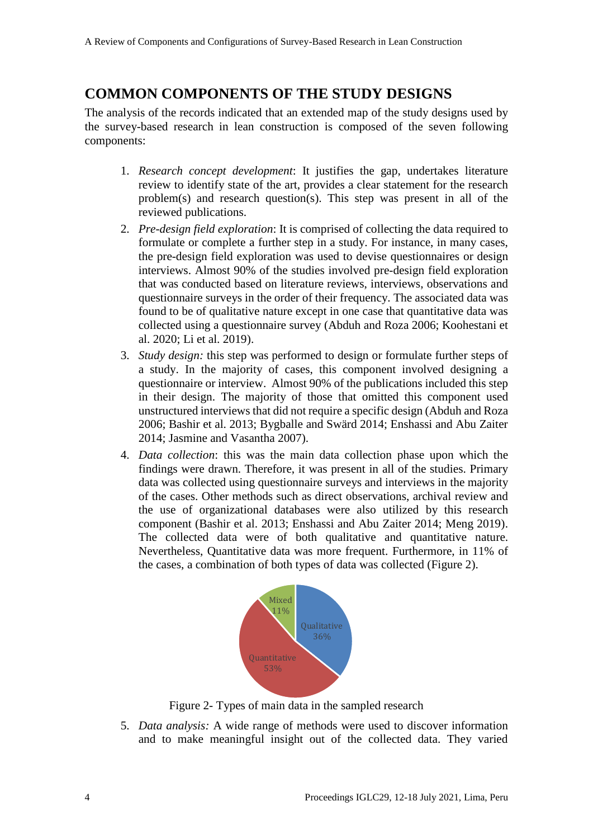### **COMMON COMPONENTS OF THE STUDY DESIGNS**

The analysis of the records indicated that an extended map of the study designs used by the survey-based research in lean construction is composed of the seven following components:

- 1. *Research concept development*: It justifies the gap, undertakes literature review to identify state of the art, provides a clear statement for the research problem(s) and research question(s). This step was present in all of the reviewed publications.
- 2. *Pre-design field exploration*: It is comprised of collecting the data required to formulate or complete a further step in a study. For instance, in many cases, the pre-design field exploration was used to devise questionnaires or design interviews. Almost 90% of the studies involved pre-design field exploration that was conducted based on literature reviews, interviews, observations and questionnaire surveys in the order of their frequency. The associated data was found to be of qualitative nature except in one case that quantitative data was collected using a questionnaire survey (Abduh and Roza 2006; Koohestani et al. 2020; Li et al. 2019).
- 3. *Study design:* this step was performed to design or formulate further steps of a study. In the majority of cases, this component involved designing a questionnaire or interview. Almost 90% of the publications included this step in their design. The majority of those that omitted this component used unstructured interviews that did not require a specific design (Abduh and Roza 2006; Bashir et al. 2013; Bygballe and Swärd 2014; Enshassi and Abu Zaiter 2014; Jasmine and Vasantha 2007).
- 4. *Data collection*: this was the main data collection phase upon which the findings were drawn. Therefore, it was present in all of the studies. Primary data was collected using questionnaire surveys and interviews in the majority of the cases. Other methods such as direct observations, archival review and the use of organizational databases were also utilized by this research component (Bashir et al. 2013; Enshassi and Abu Zaiter 2014; Meng 2019). The collected data were of both qualitative and quantitative nature. Nevertheless, Quantitative data was more frequent. Furthermore, in 11% of the cases, a combination of both types of data was collected (Figure 2).



Figure 2- Types of main data in the sampled research

5. *Data analysis:* A wide range of methods were used to discover information and to make meaningful insight out of the collected data. They varied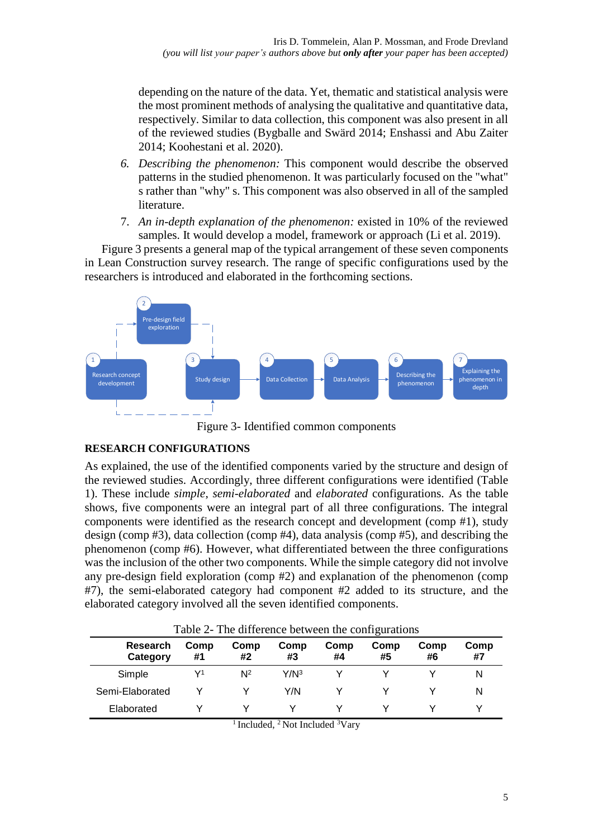depending on the nature of the data. Yet, thematic and statistical analysis were the most prominent methods of analysing the qualitative and quantitative data, respectively. Similar to data collection, this component was also present in all of the reviewed studies (Bygballe and Swärd 2014; Enshassi and Abu Zaiter 2014; Koohestani et al. 2020).

- *6. Describing the phenomenon:* This component would describe the observed patterns in the studied phenomenon. It was particularly focused on the "what" s rather than "why" s. This component was also observed in all of the sampled literature.
- 7. *An in-depth explanation of the phenomenon:* existed in 10% of the reviewed samples. It would develop a model, framework or approach (Li et al. 2019).

Figure 3 presents a general map of the typical arrangement of these seven components in Lean Construction survey research. The range of specific configurations used by the researchers is introduced and elaborated in the forthcoming sections.



Figure 3- Identified common components

#### **RESEARCH CONFIGURATIONS**

As explained, the use of the identified components varied by the structure and design of the reviewed studies. Accordingly, three different configurations were identified (Table 1). These include *simple*, *semi-elaborated* and *elaborated* configurations. As the table shows, five components were an integral part of all three configurations. The integral components were identified as the research concept and development (comp #1), study design (comp #3), data collection (comp #4), data analysis (comp #5), and describing the phenomenon (comp #6). However, what differentiated between the three configurations was the inclusion of the other two components. While the simple category did not involve any pre-design field exploration (comp #2) and explanation of the phenomenon (comp #7), the semi-elaborated category had component #2 added to its structure, and the elaborated category involved all the seven identified components.

| $1$ able $2-1$ he difference between the configurations |            |            |            |            |            |            |            |  |  |
|---------------------------------------------------------|------------|------------|------------|------------|------------|------------|------------|--|--|
| <b>Research</b><br>Category                             | Comp<br>#1 | Comp<br>#2 | Comp<br>#3 | Comp<br>#4 | Comp<br>#5 | Comp<br>#6 | Comp<br>#7 |  |  |
| Simple                                                  | V1         | $N^2$      | $Y/N^3$    |            |            |            | N          |  |  |
| Semi-Elaborated                                         |            |            | Y/N        |            |            |            | N          |  |  |
| Elaborated                                              |            |            |            |            |            |            |            |  |  |

 $Table 2. The difference between the configuration$ 

<sup>1</sup> Included, <sup>2</sup> Not Included  $3V$ ary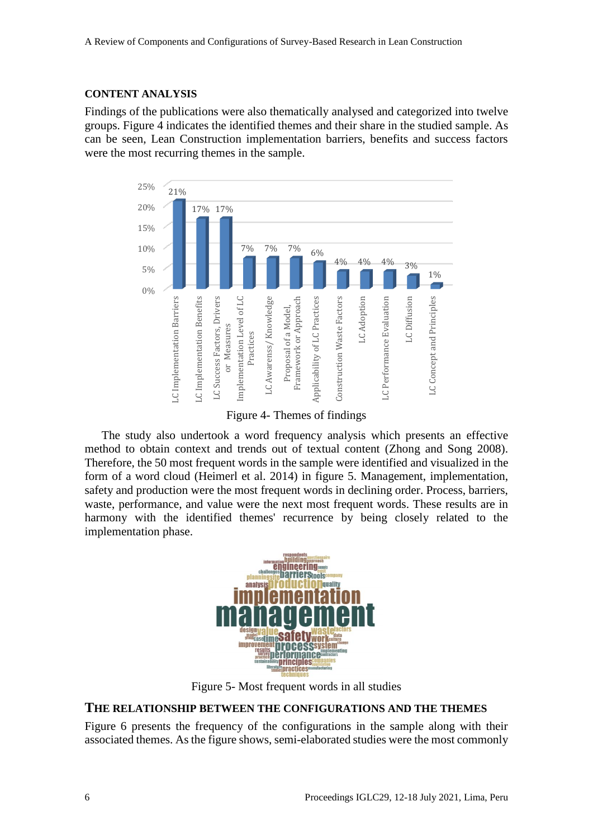#### **CONTENT ANALYSIS**

Findings of the publications were also thematically analysed and categorized into twelve groups. Figure 4 indicates the identified themes and their share in the studied sample. As can be seen, Lean Construction implementation barriers, benefits and success factors were the most recurring themes in the sample.



Figure 4- Themes of findings

The study also undertook a word frequency analysis which presents an effective method to obtain context and trends out of textual content (Zhong and Song 2008). Therefore, the 50 most frequent words in the sample were identified and visualized in the form of a word cloud (Heimerl et al. 2014) in figure 5. Management, implementation, safety and production were the most frequent words in declining order. Process, barriers, waste, performance, and value were the next most frequent words. These results are in harmony with the identified themes' recurrence by being closely related to the implementation phase.



Figure 5- Most frequent words in all studies

#### **THE RELATIONSHIP BETWEEN THE CONFIGURATIONS AND THE THEMES**

Figure 6 presents the frequency of the configurations in the sample along with their associated themes. As the figure shows, semi-elaborated studies were the most commonly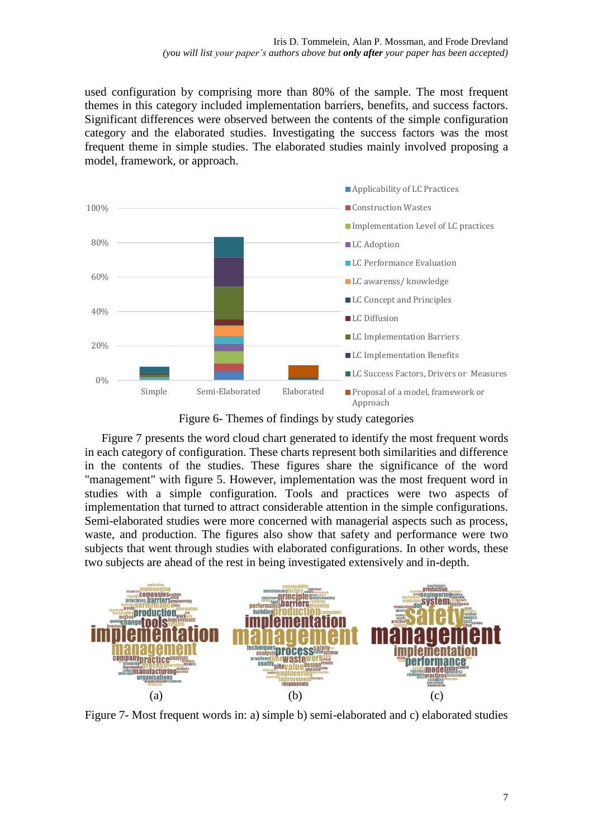used configuration by comprising more than 80% of the sample. The most frequent themes in this category included implementation barriers, benefits, and success factors. Significant differences were observed between the contents of the simple configuration category and the elaborated studies. Investigating the success factors was the most frequent theme in simple studies. The elaborated studies mainly involved proposing a model, framework, or approach.



Figure 6- Themes of findings by study categories

Figure 7 presents the word cloud chart generated to identify the most frequent words in each category of configuration. These charts represent both similarities and difference in the contents of the studies. These figures share the significance of the word "management" with figure 5. However, implementation was the most frequent word in studies with a simple configuration. Tools and practices were two aspects of implementation that turned to attract considerable attention in the simple configurations. Semi-elaborated studies were more concerned with managerial aspects such as process, waste, and production. The figures also show that safety and performance were two subjects that went through studies with elaborated configurations. In other words, these two subjects are ahead of the rest in being investigated extensively and in-depth.



Figure 7- Most frequent words in: a) simple b) semi-elaborated and c) elaborated studies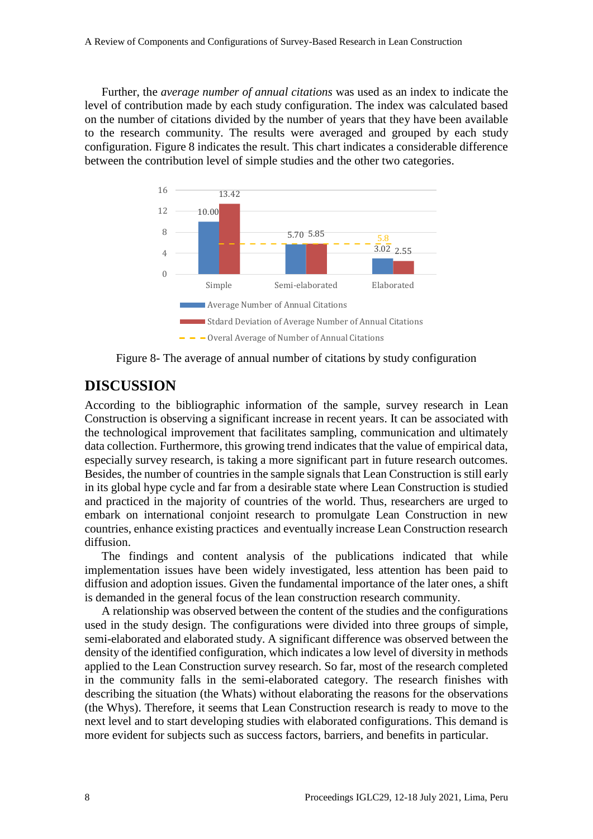Further, the *average number of annual citations* was used as an index to indicate the level of contribution made by each study configuration. The index was calculated based on the number of citations divided by the number of years that they have been available to the research community. The results were averaged and grouped by each study configuration. Figure 8 indicates the result. This chart indicates a considerable difference between the contribution level of simple studies and the other two categories.



Figure 8- The average of annual number of citations by study configuration

### **DISCUSSION**

According to the bibliographic information of the sample, survey research in Lean Construction is observing a significant increase in recent years. It can be associated with the technological improvement that facilitates sampling, communication and ultimately data collection. Furthermore, this growing trend indicates that the value of empirical data, especially survey research, is taking a more significant part in future research outcomes. Besides, the number of countries in the sample signals that Lean Construction is still early in its global hype cycle and far from a desirable state where Lean Construction is studied and practiced in the majority of countries of the world. Thus, researchers are urged to embark on international conjoint research to promulgate Lean Construction in new countries, enhance existing practices and eventually increase Lean Construction research diffusion.

The findings and content analysis of the publications indicated that while implementation issues have been widely investigated, less attention has been paid to diffusion and adoption issues. Given the fundamental importance of the later ones, a shift is demanded in the general focus of the lean construction research community.

A relationship was observed between the content of the studies and the configurations used in the study design. The configurations were divided into three groups of simple, semi-elaborated and elaborated study. A significant difference was observed between the density of the identified configuration, which indicates a low level of diversity in methods applied to the Lean Construction survey research. So far, most of the research completed in the community falls in the semi-elaborated category. The research finishes with describing the situation (the Whats) without elaborating the reasons for the observations (the Whys). Therefore, it seems that Lean Construction research is ready to move to the next level and to start developing studies with elaborated configurations. This demand is more evident for subjects such as success factors, barriers, and benefits in particular.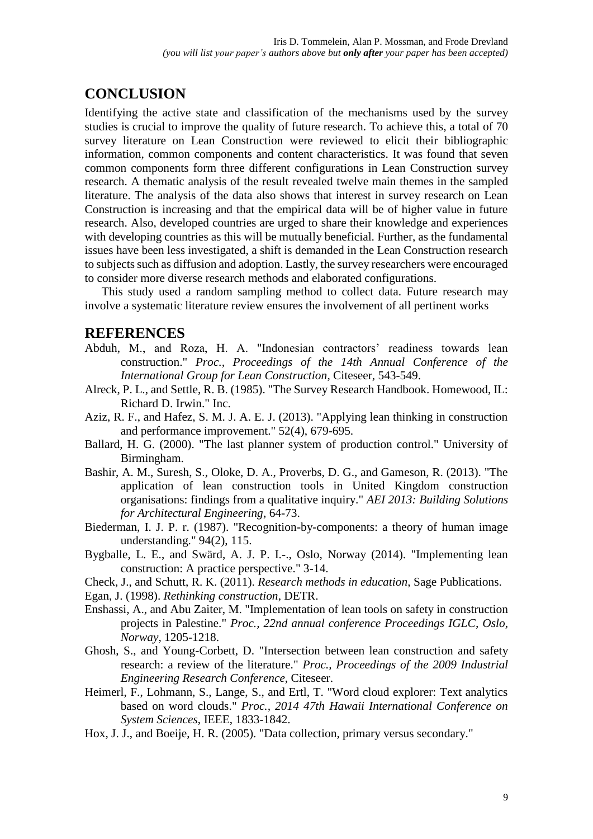# **CONCLUSION**

Identifying the active state and classification of the mechanisms used by the survey studies is crucial to improve the quality of future research. To achieve this, a total of 70 survey literature on Lean Construction were reviewed to elicit their bibliographic information, common components and content characteristics. It was found that seven common components form three different configurations in Lean Construction survey research. A thematic analysis of the result revealed twelve main themes in the sampled literature. The analysis of the data also shows that interest in survey research on Lean Construction is increasing and that the empirical data will be of higher value in future research. Also, developed countries are urged to share their knowledge and experiences with developing countries as this will be mutually beneficial. Further, as the fundamental issues have been less investigated, a shift is demanded in the Lean Construction research to subjects such as diffusion and adoption. Lastly, the survey researchers were encouraged to consider more diverse research methods and elaborated configurations.

This study used a random sampling method to collect data. Future research may involve a systematic literature review ensures the involvement of all pertinent works

#### **REFERENCES**

- Abduh, M., and Roza, H. A. "Indonesian contractors' readiness towards lean construction." *Proc., Proceedings of the 14th Annual Conference of the International Group for Lean Construction*, Citeseer, 543-549.
- Alreck, P. L., and Settle, R. B. (1985). "The Survey Research Handbook. Homewood, IL: Richard D. Irwin." Inc.
- Aziz, R. F., and Hafez, S. M. J. A. E. J. (2013). "Applying lean thinking in construction and performance improvement." 52(4), 679-695.
- Ballard, H. G. (2000). "The last planner system of production control." University of Birmingham.
- Bashir, A. M., Suresh, S., Oloke, D. A., Proverbs, D. G., and Gameson, R. (2013). "The application of lean construction tools in United Kingdom construction organisations: findings from a qualitative inquiry." *AEI 2013: Building Solutions for Architectural Engineering*, 64-73.
- Biederman, I. J. P. r. (1987). "Recognition-by-components: a theory of human image understanding." 94(2), 115.
- Bygballe, L. E., and Swärd, A. J. P. I.-., Oslo, Norway (2014). "Implementing lean construction: A practice perspective." 3-14.
- Check, J., and Schutt, R. K. (2011). *Research methods in education*, Sage Publications.
- Egan, J. (1998). *Rethinking construction*, DETR.
- Enshassi, A., and Abu Zaiter, M. "Implementation of lean tools on safety in construction projects in Palestine." *Proc., 22nd annual conference Proceedings IGLC, Oslo, Norway*, 1205-1218.
- Ghosh, S., and Young-Corbett, D. "Intersection between lean construction and safety research: a review of the literature." *Proc., Proceedings of the 2009 Industrial Engineering Research Conference*, Citeseer.
- Heimerl, F., Lohmann, S., Lange, S., and Ertl, T. "Word cloud explorer: Text analytics based on word clouds." *Proc., 2014 47th Hawaii International Conference on System Sciences*, IEEE, 1833-1842.
- Hox, J. J., and Boeije, H. R. (2005). "Data collection, primary versus secondary."